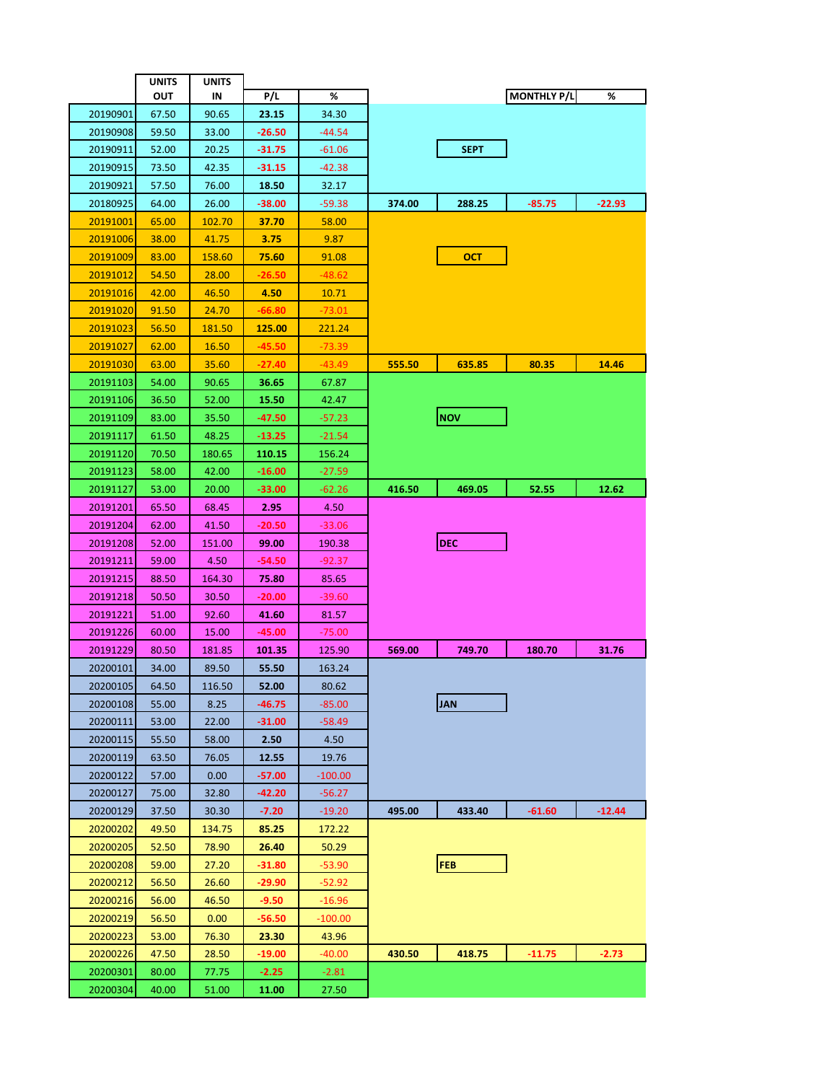|                 | <b>UNITS</b> | <b>UNITS</b> |          |           |        |             |                    |          |
|-----------------|--------------|--------------|----------|-----------|--------|-------------|--------------------|----------|
|                 | ουτ          | IN           | P/L      | %         |        |             | <b>MONTHLY P/L</b> | %        |
| 20190901        | 67.50        | 90.65        | 23.15    | 34.30     |        |             |                    |          |
| 20190908        | 59.50        | 33.00        | -26.50   | $-44.54$  |        |             |                    |          |
| 20190911        | 52.00        | 20.25        | $-31.75$ | $-61.06$  |        | <b>SEPT</b> |                    |          |
| 20190915        | 73.50        | 42.35        | $-31.15$ | $-42.38$  |        |             |                    |          |
| 20190921        | 57.50        | 76.00        | 18.50    | 32.17     |        |             |                    |          |
| 20180925        | 64.00        | 26.00        | -38.00   | $-59.38$  | 374.00 | 288.25      | $-85.75$           | $-22.93$ |
| <u>20191001</u> | 65.00        | 102.70       | 37.70    | 58.00     |        |             |                    |          |
| 20191006        | 38.00        | 41.75        | 3.75     | 9.87      |        |             |                    |          |
| 20191009        | 83.00        | 158.60       | 75.60    | 91.08     |        | <b>OCT</b>  |                    |          |
| 20191012        | 54.50        | 28.00        | -26.50   | -48.62    |        |             |                    |          |
| <u>20191016</u> | 42.00        | 46.50        | 4.50     | 10.71     |        |             |                    |          |
| <u>20191020</u> | 91.50        | 24.70        | -66.80   | -73.01    |        |             |                    |          |
| <u>20191023</u> | 56.50        | 181.50       | 125.00   | 221.24    |        |             |                    |          |
| 20191027        | 62.00        | 16.50        | $-45.50$ | $-73.39$  |        |             |                    |          |
| 20191030        | 63.00        | 35.60        | -27.40   | -43.49    | 555.50 | 635.85      | 80.35              | 14.46    |
| 20191103        | 54.00        | 90.65        | 36.65    | 67.87     |        |             |                    |          |
| 20191106        | 36.50        | 52.00        | 15.50    | 42.47     |        |             |                    |          |
| 20191109        | 83.00        | 35.50        | -47.50   | $-57.23$  |        | <b>NOV</b>  |                    |          |
| 20191117        | 61.50        | 48.25        | $-13.25$ | $-21.54$  |        |             |                    |          |
| 20191120        | 70.50        | 180.65       | 110.15   | 156.24    |        |             |                    |          |
| 20191123        | 58.00        | 42.00        | $-16.00$ | $-27.59$  |        |             |                    |          |
| 20191127        | 53.00        | 20.00        | -33.00   | -62.26    | 416.50 | 469.05      | 52.55              | 12.62    |
| 20191201        | 65.50        | 68.45        | 2.95     | 4.50      |        |             |                    |          |
| 20191204        | 62.00        | 41.50        | -20.50   | $-33.06$  |        |             |                    |          |
| 20191208        | 52.00        | 151.00       | 99.00    | 190.38    |        | <b>DEC</b>  |                    |          |
| 20191211        | 59.00        | 4.50         | -54.50   | -92.37    |        |             |                    |          |
| 20191215        | 88.50        | 164.30       | 75.80    | 85.65     |        |             |                    |          |
| 20191218        | 50.50        | 30.50        | -20.00   | -39.60    |        |             |                    |          |
| 20191221        | 51.00        | 92.60        | 41.60    | 81.57     |        |             |                    |          |
| 20191226        | 60.00        | 15.00        | $-45.00$ | $-75.00$  |        |             |                    |          |
| 20191229        | 80.50        | 181.85       | 101.35   | 125.90    | 569.00 | 749.70      | 180.70             | 31.76    |
| 20200101        | 34.00        | 89.50        | 55.50    | 163.24    |        |             |                    |          |
| 20200105        | 64.50        | 116.50       | 52.00    | 80.62     |        |             |                    |          |
| 20200108        | 55.00        | 8.25         | -46.75   | $-85.00$  |        | <b>JAN</b>  |                    |          |
| 20200111        | 53.00        | 22.00        | $-31.00$ | $-58.49$  |        |             |                    |          |
| 20200115        | 55.50        | 58.00        | 2.50     | 4.50      |        |             |                    |          |
| 20200119        | 63.50        | 76.05        | 12.55    | 19.76     |        |             |                    |          |
| 20200122        | 57.00        | 0.00         | -57.00   | $-100.00$ |        |             |                    |          |
| 20200127        | 75.00        | 32.80        | -42.20   | -56.27    |        |             |                    |          |
| 20200129        | 37.50        | 30.30        | $-7.20$  | $-19.20$  | 495.00 | 433.40      | $-61.60$           | $-12.44$ |
| 20200202        | 49.50        | 134.75       | 85.25    | 172.22    |        |             |                    |          |
| 20200205        | 52.50        | 78.90        | 26.40    | 50.29     |        |             |                    |          |
| 20200208        | 59.00        | 27.20        | -31.80   | -53.90    |        | <b>FEB</b>  |                    |          |
| 20200212        | 56.50        | 26.60        | -29.90   | $-52.92$  |        |             |                    |          |
| 20200216        | 56.00        | 46.50        | -9.50    | -16.96    |        |             |                    |          |
| 20200219        | 56.50        | 0.00         | -56.50   | $-100.00$ |        |             |                    |          |
| 20200223        | 53.00        | 76.30        | 23.30    | 43.96     |        |             |                    |          |
| 20200226        | 47.50        | 28.50        | -19.00   | $-40.00$  | 430.50 | 418.75      | $-11.75$           | $-2.73$  |
| 20200301        | 80.00        | 77.75        | $-2.25$  | $-2.81$   |        |             |                    |          |
| 20200304        | 40.00        | 51.00        | 11.00    | 27.50     |        |             |                    |          |